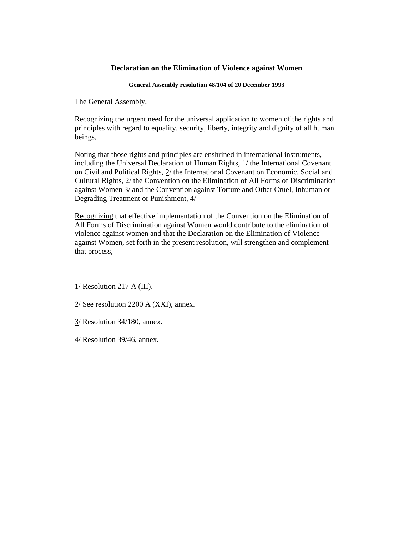### **Declaration on the Elimination of Violence against Women**

**General Assembly resolution 48/104 of 20 December 1993**

The General Assembly,

Recognizing the urgent need for the universal application to women of the rights and principles with regard to equality, security, liberty, integrity and dignity of all human beings,

Noting that those rights and principles are enshrined in international instruments, including the Universal Declaration of Human Rights,  $1/$  the International Covenant on Civil and Political Rights, 2/ the International Covenant on Economic, Social and Cultural Rights, 2/ the Convention on the Elimination of All Forms of Discrimination against Women 3/ and the Convention against Torture and Other Cruel, Inhuman or Degrading Treatment or Punishment, 4/

Recognizing that effective implementation of the Convention on the Elimination of All Forms of Discrimination against Women would contribute to the elimination of violence against women and that the Declaration on the Elimination of Violence against Women, set forth in the present resolution, will strengthen and complement that process,

1/ Resolution 217 A (III).

 $\overline{\phantom{a}}$  , we can also the set of  $\overline{\phantom{a}}$ 

2/ See resolution 2200 A (XXI), annex.

- 3/ Resolution 34/180, annex.
- 4/ Resolution 39/46, annex.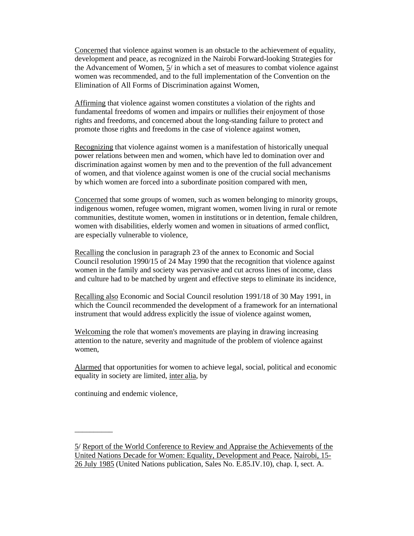Concerned that violence against women is an obstacle to the achievement of equality, development and peace, as recognized in the Nairobi Forward-looking Strategies for the Advancement of Women, 5/ in which a set of measures to combat violence against women was recommended, and to the full implementation of the Convention on the Elimination of All Forms of Discrimination against Women,

Affirming that violence against women constitutes a violation of the rights and fundamental freedoms of women and impairs or nullifies their enjoyment of those rights and freedoms, and concerned about the long-standing failure to protect and promote those rights and freedoms in the case of violence against women,

Recognizing that violence against women is a manifestation of historically unequal power relations between men and women, which have led to domination over and discrimination against women by men and to the prevention of the full advancement of women, and that violence against women is one of the crucial social mechanisms by which women are forced into a subordinate position compared with men,

Concerned that some groups of women, such as women belonging to minority groups, indigenous women, refugee women, migrant women, women living in rural or remote communities, destitute women, women in institutions or in detention, female children, women with disabilities, elderly women and women in situations of armed conflict, are especially vulnerable to violence,

Recalling the conclusion in paragraph 23 of the annex to Economic and Social Council resolution 1990/15 of 24 May 1990 that the recognition that violence against women in the family and society was pervasive and cut across lines of income, class and culture had to be matched by urgent and effective steps to eliminate its incidence,

Recalling also Economic and Social Council resolution 1991/18 of 30 May 1991, in which the Council recommended the development of a framework for an international instrument that would address explicitly the issue of violence against women,

Welcoming the role that women's movements are playing in drawing increasing attention to the nature, severity and magnitude of the problem of violence against women,

Alarmed that opportunities for women to achieve legal, social, political and economic equality in society are limited, inter alia, by

continuing and endemic violence,

\_\_\_\_\_\_\_\_\_\_

5/ Report of the World Conference to Review and Appraise the Achievements of the United Nations Decade for Women: Equality, Development and Peace, Nairobi, 15- 26 July 1985 (United Nations publication, Sales No. E.85.IV.10), chap. I, sect. A.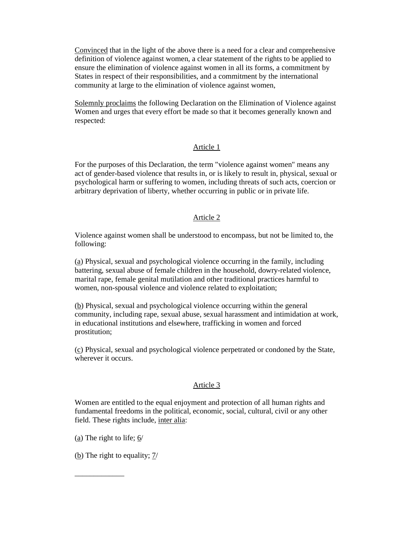Convinced that in the light of the above there is a need for a clear and comprehensive definition of violence against women, a clear statement of the rights to be applied to ensure the elimination of violence against women in all its forms, a commitment by States in respect of their responsibilities, and a commitment by the international community at large to the elimination of violence against women,

Solemnly proclaims the following Declaration on the Elimination of Violence against Women and urges that every effort be made so that it becomes generally known and respected:

# Article 1

For the purposes of this Declaration, the term "violence against women" means any act of gender-based violence that results in, or is likely to result in, physical, sexual or psychological harm or suffering to women, including threats of such acts, coercion or arbitrary deprivation of liberty, whether occurring in public or in private life.

### Article 2

Violence against women shall be understood to encompass, but not be limited to, the following:

(a) Physical, sexual and psychological violence occurring in the family, including battering, sexual abuse of female children in the household, dowry-related violence, marital rape, female genital mutilation and other traditional practices harmful to women, non-spousal violence and violence related to exploitation;

(b) Physical, sexual and psychological violence occurring within the general community, including rape, sexual abuse, sexual harassment and intimidation at work, in educational institutions and elsewhere, trafficking in women and forced prostitution;

(c) Physical, sexual and psychological violence perpetrated or condoned by the State, wherever it occurs.

#### Article 3

Women are entitled to the equal enjoyment and protection of all human rights and fundamental freedoms in the political, economic, social, cultural, civil or any other field. These rights include, inter alia:

(a) The right to life; 6/

\_\_\_\_\_\_\_\_\_\_\_\_\_

(b) The right to equality;  $7/$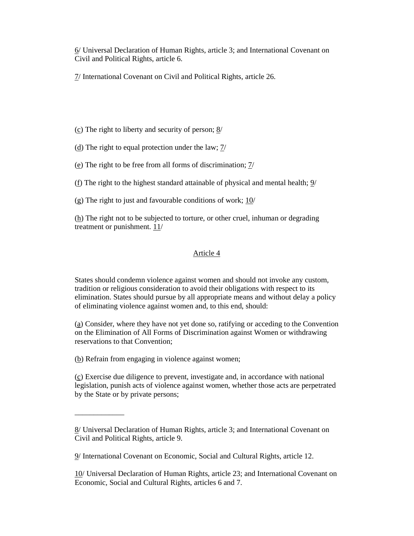6/ Universal Declaration of Human Rights, article 3; and International Covenant on Civil and Political Rights, article 6.

7/ International Covenant on Civil and Political Rights, article 26.

(c) The right to liberty and security of person; 8/

(d) The right to equal protection under the law;  $\frac{7}{1}$ 

(e) The right to be free from all forms of discrimination;  $\frac{7}{1}$ 

(f) The right to the highest standard attainable of physical and mental health; 9/

(g) The right to just and favourable conditions of work;  $10/$ 

 $(h)$  The right not to be subjected to torture, or other cruel, inhuman or degrading treatment or punishment.  $11/$ 

### Article 4

States should condemn violence against women and should not invoke any custom, tradition or religious consideration to avoid their obligations with respect to its elimination. States should pursue by all appropriate means and without delay a policy of eliminating violence against women and, to this end, should:

(a) Consider, where they have not yet done so, ratifying or acceding to the Convention on the Elimination of All Forms of Discrimination against Women or withdrawing reservations to that Convention;

(b) Refrain from engaging in violence against women;

\_\_\_\_\_\_\_\_\_\_\_\_\_

(c) Exercise due diligence to prevent, investigate and, in accordance with national legislation, punish acts of violence against women, whether those acts are perpetrated by the State or by private persons;

<sup>8/</sup> Universal Declaration of Human Rights, article 3; and International Covenant on Civil and Political Rights, article 9.

<sup>9/</sup> International Covenant on Economic, Social and Cultural Rights, article 12.

<sup>10/</sup> Universal Declaration of Human Rights, article 23; and International Covenant on Economic, Social and Cultural Rights, articles 6 and 7.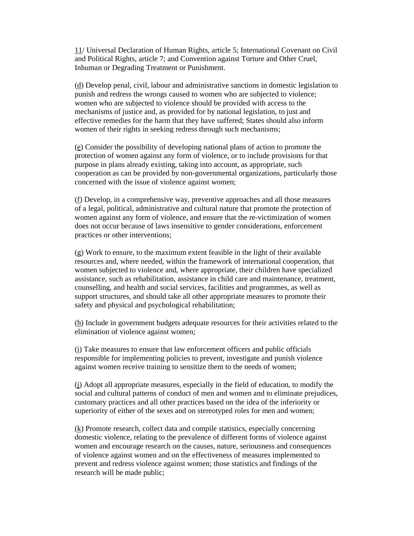11/ Universal Declaration of Human Rights, article 5; International Covenant on Civil and Political Rights, article 7; and Convention against Torture and Other Cruel, Inhuman or Degrading Treatment or Punishment.

(d) Develop penal, civil, labour and administrative sanctions in domestic legislation to punish and redress the wrongs caused to women who are subjected to violence; women who are subjected to violence should be provided with access to the mechanisms of justice and, as provided for by national legislation, to just and effective remedies for the harm that they have suffered; States should also inform women of their rights in seeking redress through such mechanisms;

(e) Consider the possibility of developing national plans of action to promote the protection of women against any form of violence, or to include provisions for that purpose in plans already existing, taking into account, as appropriate, such cooperation as can be provided by non-governmental organizations, particularly those concerned with the issue of violence against women;

(f) Develop, in a comprehensive way, preventive approaches and all those measures of a legal, political, administrative and cultural nature that promote the protection of women against any form of violence, and ensure that the re-victimization of women does not occur because of laws insensitive to gender considerations, enforcement practices or other interventions;

(g) Work to ensure, to the maximum extent feasible in the light of their available resources and, where needed, within the framework of international cooperation, that women subjected to violence and, where appropriate, their children have specialized assistance, such as rehabilitation, assistance in child care and maintenance, treatment, counselling, and health and social services, facilities and programmes, as well as support structures, and should take all other appropriate measures to promote their safety and physical and psychological rehabilitation;

(h) Include in government budgets adequate resources for their activities related to the elimination of violence against women;

(i) Take measures to ensure that law enforcement officers and public officials responsible for implementing policies to prevent, investigate and punish violence against women receive training to sensitize them to the needs of women;

(j) Adopt all appropriate measures, especially in the field of education, to modify the social and cultural patterns of conduct of men and women and to eliminate prejudices, customary practices and all other practices based on the idea of the inferiority or superiority of either of the sexes and on stereotyped roles for men and women;

(k) Promote research, collect data and compile statistics, especially concerning domestic violence, relating to the prevalence of different forms of violence against women and encourage research on the causes, nature, seriousness and consequences of violence against women and on the effectiveness of measures implemented to prevent and redress violence against women; those statistics and findings of the research will be made public;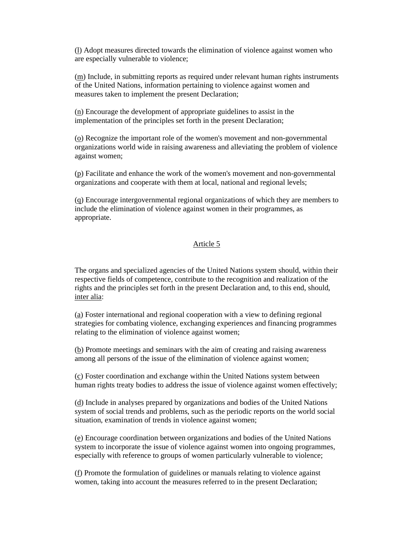(l) Adopt measures directed towards the elimination of violence against women who are especially vulnerable to violence;

(m) Include, in submitting reports as required under relevant human rights instruments of the United Nations, information pertaining to violence against women and measures taken to implement the present Declaration;

(n) Encourage the development of appropriate guidelines to assist in the implementation of the principles set forth in the present Declaration;

(o) Recognize the important role of the women's movement and non-governmental organizations world wide in raising awareness and alleviating the problem of violence against women;

(p) Facilitate and enhance the work of the women's movement and non-governmental organizations and cooperate with them at local, national and regional levels;

(q) Encourage intergovernmental regional organizations of which they are members to include the elimination of violence against women in their programmes, as appropriate.

#### Article 5

The organs and specialized agencies of the United Nations system should, within their respective fields of competence, contribute to the recognition and realization of the rights and the principles set forth in the present Declaration and, to this end, should, inter alia:

(a) Foster international and regional cooperation with a view to defining regional strategies for combating violence, exchanging experiences and financing programmes relating to the elimination of violence against women;

(b) Promote meetings and seminars with the aim of creating and raising awareness among all persons of the issue of the elimination of violence against women;

(c) Foster coordination and exchange within the United Nations system between human rights treaty bodies to address the issue of violence against women effectively;

(d) Include in analyses prepared by organizations and bodies of the United Nations system of social trends and problems, such as the periodic reports on the world social situation, examination of trends in violence against women;

(e) Encourage coordination between organizations and bodies of the United Nations system to incorporate the issue of violence against women into ongoing programmes, especially with reference to groups of women particularly vulnerable to violence;

(f) Promote the formulation of guidelines or manuals relating to violence against women, taking into account the measures referred to in the present Declaration;